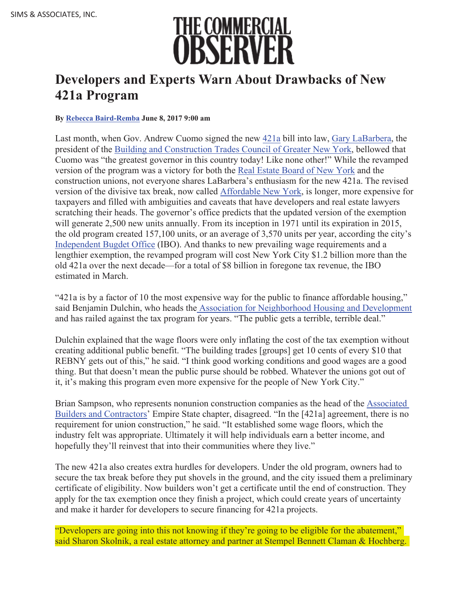

## **Developers and Experts Warn About Drawbacks of New 421a Program**

## **By Rebecca Baird-Remba June 8, 2017 9:00 am**

Last month, when Gov. Andrew Cuomo signed the new 421a bill into law, Gary LaBarbera, the president of the Building and Construction Trades Council of Greater New York, bellowed that Cuomo was "the greatest governor in this country today! Like none other!" While the revamped version of the program was a victory for both the Real Estate Board of New York and the construction unions, not everyone shares LaBarbera's enthusiasm for the new 421a. The revised version of the divisive tax break, now called Affordable New York, is longer, more expensive for taxpayers and filled with ambiguities and caveats that have developers and real estate lawyers scratching their heads. The governor's office predicts that the updated version of the exemption will generate 2,500 new units annually. From its inception in 1971 until its expiration in 2015, the old program created 157,100 units, or an average of 3,570 units per year, according the city's Independent Bugdet Office (IBO). And thanks to new prevailing wage requirements and a lengthier exemption, the revamped program will cost New York City \$1.2 billion more than the old 421a over the next decade—for a total of \$8 billion in foregone tax revenue, the IBO estimated in March.

"421a is by a factor of 10 the most expensive way for the public to finance affordable housing," said Benjamin Dulchin, who heads the Association for Neighborhood Housing and Development and has railed against the tax program for years. "The public gets a terrible, terrible deal."

Dulchin explained that the wage floors were only inflating the cost of the tax exemption without creating additional public benefit. "The building trades [groups] get 10 cents of every \$10 that REBNY gets out of this," he said. "I think good working conditions and good wages are a good thing. But that doesn't mean the public purse should be robbed. Whatever the unions got out of it, it's making this program even more expensive for the people of New York City."

Brian Sampson, who represents nonunion construction companies as the head of the Associated Builders and Contractors' Empire State chapter, disagreed. "In the [421a] agreement, there is no requirement for union construction," he said. "It established some wage floors, which the industry felt was appropriate. Ultimately it will help individuals earn a better income, and hopefully they'll reinvest that into their communities where they live."

The new 421a also creates extra hurdles for developers. Under the old program, owners had to secure the tax break before they put shovels in the ground, and the city issued them a preliminary certificate of eligibility. Now builders won't get a certificate until the end of construction. They apply for the tax exemption once they finish a project, which could create years of uncertainty and make it harder for developers to secure financing for 421a projects.

"Developers are going into this not knowing if they're going to be eligible for the abatement," said Sharon Skolnik, a real estate attorney and partner at Stempel Bennett Claman & Hochberg.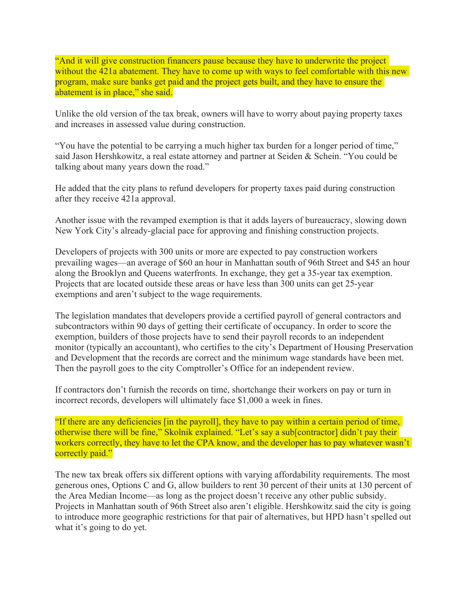"And it will give construction financers pause because they have to underwrite the project without the 421a abatement. They have to come up with ways to feel comfortable with this new program, make sure banks get paid and the project gets built, and they have to ensure the abatement is in place," she said.

Unlike the old version of the tax break, owners will have to worry about paying property taxes and increases in assessed value during construction.

"You have the potential to be carrying a much higher tax burden for a longer period of time," said Jason Hershkowitz, a real estate attorney and partner at Seiden & Schein. "You could be talking about many years down the road."

He added that the city plans to refund developers for property taxes paid during construction after they receive 421a approval.

Another issue with the revamped exemption is that it adds layers of bureaucracy, slowing down New York City's already-glacial pace for approving and finishing construction projects.

Developers of projects with 300 units or more are expected to pay construction workers prevailing wages—an average of \$60 an hour in Manhattan south of 96th Street and \$45 an hour along the Brooklyn and Queens waterfronts. In exchange, they get a 35-year tax exemption. Projects that are located outside these areas or have less than 300 units can get 25-year exemptions and aren't subject to the wage requirements.

The legislation mandates that developers provide a certified payroll of general contractors and subcontractors within 90 days of getting their certificate of occupancy. In order to score the exemption, builders of those projects have to send their payroll records to an independent monitor (typically an accountant), who certifies to the city's Department of Housing Preservation and Development that the records are correct and the minimum wage standards have been met. Then the payroll goes to the city Comptroller's Office for an independent review.

If contractors don't furnish the records on time, shortchange their workers on pay or turn in incorrect records, developers will ultimately face \$1,000 a week in fines.

"If there are any deficiencies [in the payroll], they have to pay within a certain period of time, otherwise there will be fine," Skolnik explained. "Let's say a sub[contractor] didn't pay their workers correctly, they have to let the CPA know, and the developer has to pay whatever wasn't correctly paid."

The new tax break offers six different options with varying affordability requirements. The most generous ones, Options C and G, allow builders to rent 30 percent of their units at 130 percent of the Area Median Income—as long as the project doesn't receive any other public subsidy. Projects in Manhattan south of 96th Street also aren't eligible. Hershkowitz said the city is going to introduce more geographic restrictions for that pair of alternatives, but HPD hasn't spelled out what it's going to do yet.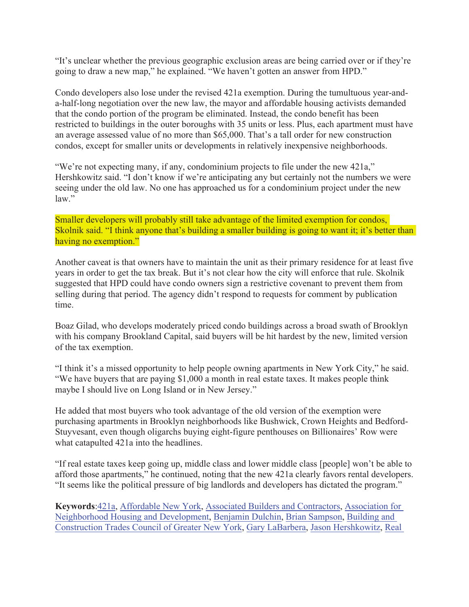"It's unclear whether the previous geographic exclusion areas are being carried over or if they're going to draw a new map," he explained. "We haven't gotten an answer from HPD."

Condo developers also lose under the revised 421a exemption. During the tumultuous year-anda-half-long negotiation over the new law, the mayor and affordable housing activists demanded that the condo portion of the program be eliminated. Instead, the condo benefit has been restricted to buildings in the outer boroughs with 35 units or less. Plus, each apartment must have an average assessed value of no more than \$65,000. That's a tall order for new construction condos, except for smaller units or developments in relatively inexpensive neighborhoods.

"We're not expecting many, if any, condominium projects to file under the new 421a," Hershkowitz said. "I don't know if we're anticipating any but certainly not the numbers we were seeing under the old law. No one has approached us for a condominium project under the new law."

Smaller developers will probably still take advantage of the limited exemption for condos, Skolnik said. "I think anyone that's building a smaller building is going to want it; it's better than having no exemption."

Another caveat is that owners have to maintain the unit as their primary residence for at least five years in order to get the tax break. But it's not clear how the city will enforce that rule. Skolnik suggested that HPD could have condo owners sign a restrictive covenant to prevent them from selling during that period. The agency didn't respond to requests for comment by publication time.

Boaz Gilad, who develops moderately priced condo buildings across a broad swath of Brooklyn with his company Brookland Capital, said buyers will be hit hardest by the new, limited version of the tax exemption.

"I think it's a missed opportunity to help people owning apartments in New York City," he said. "We have buyers that are paying \$1,000 a month in real estate taxes. It makes people think maybe I should live on Long Island or in New Jersey."

He added that most buyers who took advantage of the old version of the exemption were purchasing apartments in Brooklyn neighborhoods like Bushwick, Crown Heights and Bedford-Stuyvesant, even though oligarchs buying eight-figure penthouses on Billionaires' Row were what catapulted 421a into the headlines.

"If real estate taxes keep going up, middle class and lower middle class [people] won't be able to afford those apartments," he continued, noting that the new 421a clearly favors rental developers. "It seems like the political pressure of big landlords and developers has dictated the program."

**Keywords**:421a, Affordable New York, Associated Builders and Contractors, Association for Neighborhood Housing and Development, Benjamin Dulchin, Brian Sampson, Building and Construction Trades Council of Greater New York, Gary LaBarbera, Jason Hershkowitz, Real